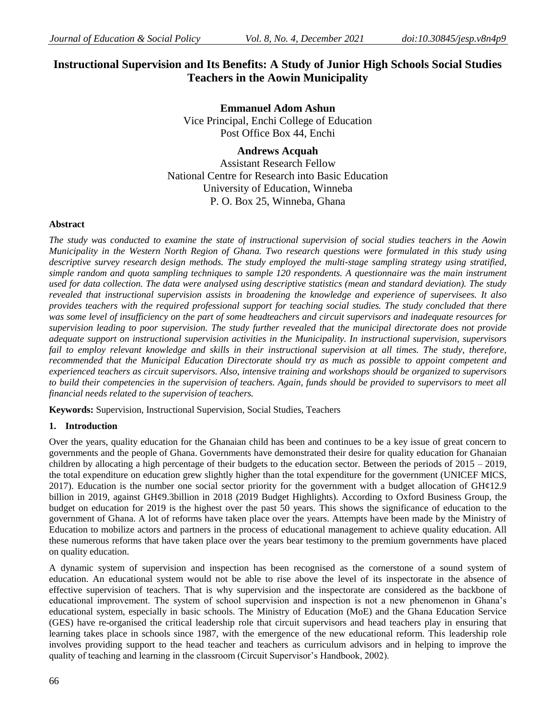# **Instructional Supervision and Its Benefits: A Study of Junior High Schools Social Studies Teachers in the Aowin Municipality**

**Emmanuel Adom Ashun** Vice Principal, Enchi College of Education Post Office Box 44, Enchi

**Andrews Acquah** 

Assistant Research Fellow National Centre for Research into Basic Education University of Education, Winneba P. O. Box 25, Winneba, Ghana

### **Abstract**

*The study was conducted to examine the state of instructional supervision of social studies teachers in the Aowin Municipality in the Western North Region of Ghana. Two research questions were formulated in this study using descriptive survey research design methods. The study employed the multi-stage sampling strategy using stratified, simple random and quota sampling techniques to sample 120 respondents. A questionnaire was the main instrument used for data collection. The data were analysed using descriptive statistics (mean and standard deviation). The study revealed that instructional supervision assists in broadening the knowledge and experience of supervisees. It also provides teachers with the required professional support for teaching social studies. The study concluded that there was some level of insufficiency on the part of some headteachers and circuit supervisors and inadequate resources for supervision leading to poor supervision. The study further revealed that the municipal directorate does not provide adequate support on instructional supervision activities in the Municipality. In instructional supervision, supervisors* fail to employ relevant knowledge and skills in their instructional supervision at all times. The study, therefore, *recommended that the Municipal Education Directorate should try as much as possible to appoint competent and experienced teachers as circuit supervisors. Also, intensive training and workshops should be organized to supervisors to build their competencies in the supervision of teachers. Again, funds should be provided to supervisors to meet all financial needs related to the supervision of teachers.*

**Keywords:** Supervision, Instructional Supervision, Social Studies, Teachers

# **1. Introduction**

Over the years, quality education for the Ghanaian child has been and continues to be a key issue of great concern to governments and the people of Ghana. Governments have demonstrated their desire for quality education for Ghanaian children by allocating a high percentage of their budgets to the education sector. Between the periods of 2015 – 2019, the total expenditure on education grew slightly higher than the total expenditure for the government (UNICEF MICS, 2017). Education is the number one social sector priority for the government with a budget allocation of GH¢12.9 billion in 2019, against GH¢9.3billion in 2018 (2019 Budget Highlights). According to Oxford Business Group, the budget on education for 2019 is the highest over the past 50 years. This shows the significance of education to the government of Ghana. A lot of reforms have taken place over the years. Attempts have been made by the Ministry of Education to mobilize actors and partners in the process of educational management to achieve quality education. All these numerous reforms that have taken place over the years bear testimony to the premium governments have placed on quality education.

A dynamic system of supervision and inspection has been recognised as the cornerstone of a sound system of education. An educational system would not be able to rise above the level of its inspectorate in the absence of effective supervision of teachers. That is why supervision and the inspectorate are considered as the backbone of educational improvement. The system of school supervision and inspection is not a new phenomenon in Ghana's educational system, especially in basic schools. The Ministry of Education (MoE) and the Ghana Education Service (GES) have re-organised the critical leadership role that circuit supervisors and head teachers play in ensuring that learning takes place in schools since 1987, with the emergence of the new educational reform. This leadership role involves providing support to the head teacher and teachers as curriculum advisors and in helping to improve the quality of teaching and learning in the classroom (Circuit Supervisor's Handbook, 2002).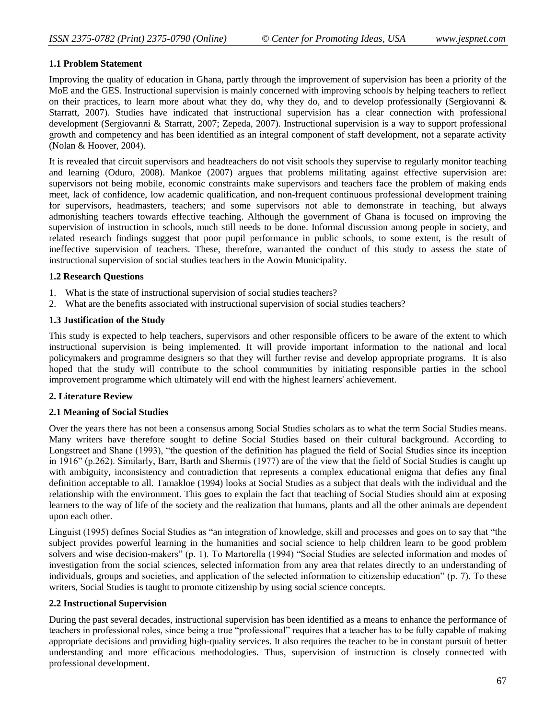### **1.1 Problem Statement**

Improving the quality of education in Ghana, partly through the improvement of supervision has been a priority of the MoE and the GES. Instructional supervision is mainly concerned with improving schools by helping teachers to reflect on their practices, to learn more about what they do, why they do, and to develop professionally (Sergiovanni  $\&$ Starratt, 2007). Studies have indicated that instructional supervision has a clear connection with professional development (Sergiovanni & Starratt, 2007; Zepeda, 2007). Instructional supervision is a way to support professional growth and competency and has been identified as an integral component of staff development, not a separate activity (Nolan & Hoover, 2004).

It is revealed that circuit supervisors and headteachers do not visit schools they supervise to regularly monitor teaching and learning (Oduro, 2008). Mankoe (2007) argues that problems militating against effective supervision are: supervisors not being mobile, economic constraints make supervisors and teachers face the problem of making ends meet, lack of confidence, low academic qualification, and non-frequent continuous professional development training for supervisors, headmasters, teachers; and some supervisors not able to demonstrate in teaching, but always admonishing teachers towards effective teaching. Although the government of Ghana is focused on improving the supervision of instruction in schools, much still needs to be done. Informal discussion among people in society, and related research findings suggest that poor pupil performance in public schools, to some extent, is the result of ineffective supervision of teachers. These, therefore, warranted the conduct of this study to assess the state of instructional supervision of social studies teachers in the Aowin Municipality.

#### **1.2 Research Questions**

- 1. What is the state of instructional supervision of social studies teachers?
- 2. What are the benefits associated with instructional supervision of social studies teachers?

### **1.3 Justification of the Study**

This study is expected to help teachers, supervisors and other responsible officers to be aware of the extent to which instructional supervision is being implemented. It will provide important information to the national and local policymakers and programme designers so that they will further revise and develop appropriate programs. It is also hoped that the study will contribute to the school communities by initiating responsible parties in the school improvement programme which ultimately will end with the highest learners' achievement.

#### **2. Literature Review**

#### **2.1 Meaning of Social Studies**

Over the years there has not been a consensus among Social Studies scholars as to what the term Social Studies means. Many writers have therefore sought to define Social Studies based on their cultural background. According to Longstreet and Shane (1993), "the question of the definition has plagued the field of Social Studies since its inception in 1916" (p.262). Similarly, Barr, Barth and Shermis (1977) are of the view that the field of Social Studies is caught up with ambiguity, inconsistency and contradiction that represents a complex educational enigma that defies any final definition acceptable to all. Tamakloe (1994) looks at Social Studies as a subject that deals with the individual and the relationship with the environment. This goes to explain the fact that teaching of Social Studies should aim at exposing learners to the way of life of the society and the realization that humans, plants and all the other animals are dependent upon each other.

Linguist (1995) defines Social Studies as "an integration of knowledge, skill and processes and goes on to say that "the subject provides powerful learning in the humanities and social science to help children learn to be good problem solvers and wise decision-makers" (p. 1). To Martorella (1994) "Social Studies are selected information and modes of investigation from the social sciences, selected information from any area that relates directly to an understanding of individuals, groups and societies, and application of the selected information to citizenship education" (p. 7). To these writers, Social Studies is taught to promote citizenship by using social science concepts.

#### **2.2 Instructional Supervision**

During the past several decades, instructional supervision has been identified as a means to enhance the performance of teachers in professional roles, since being a true "professional" requires that a teacher has to be fully capable of making appropriate decisions and providing high-quality services. It also requires the teacher to be in constant pursuit of better understanding and more efficacious methodologies. Thus, supervision of instruction is closely connected with professional development.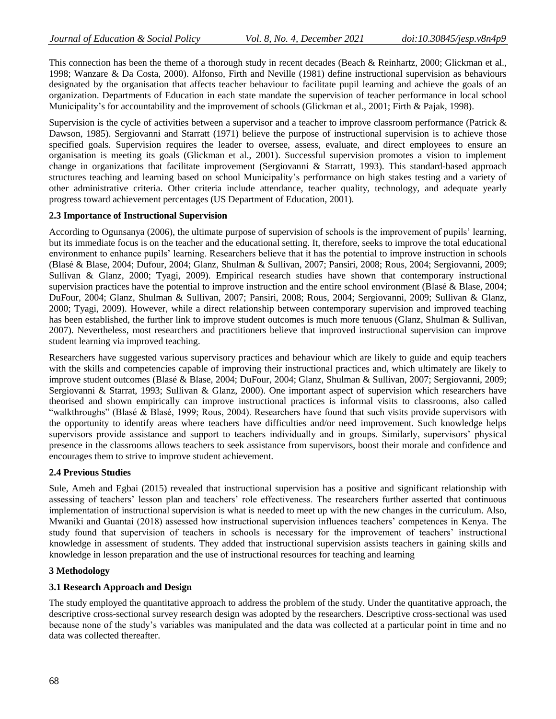This connection has been the theme of a thorough study in recent decades (Beach & Reinhartz, 2000; Glickman et al., 1998; Wanzare & Da Costa, 2000). Alfonso, Firth and Neville (1981) define instructional supervision as behaviours designated by the organisation that affects teacher behaviour to facilitate pupil learning and achieve the goals of an organization. Departments of Education in each state mandate the supervision of teacher performance in local school Municipality's for accountability and the improvement of schools (Glickman et al., 2001; Firth & Pajak, 1998).

Supervision is the cycle of activities between a supervisor and a teacher to improve classroom performance (Patrick & Dawson, 1985). Sergiovanni and Starratt (1971) believe the purpose of instructional supervision is to achieve those specified goals. Supervision requires the leader to oversee, assess, evaluate, and direct employees to ensure an organisation is meeting its goals (Glickman et al., 2001). Successful supervision promotes a vision to implement change in organizations that facilitate improvement (Sergiovanni & Starratt, 1993). This standard-based approach structures teaching and learning based on school Municipality's performance on high stakes testing and a variety of other administrative criteria. Other criteria include attendance, teacher quality, technology, and adequate yearly progress toward achievement percentages (US Department of Education, 2001).

# **2.3 Importance of Instructional Supervision**

According to Ogunsanya (2006), the ultimate purpose of supervision of schools is the improvement of pupils' learning, but its immediate focus is on the teacher and the educational setting. It, therefore, seeks to improve the total educational environment to enhance pupils' learning. Researchers believe that it has the potential to improve instruction in schools (Blasé & Blase, 2004; Dufour, 2004; Glanz, Shulman & Sullivan, 2007; Pansiri, 2008; Rous, 2004; Sergiovanni, 2009; Sullivan & Glanz, 2000; Tyagi, 2009). Empirical research studies have shown that contemporary instructional supervision practices have the potential to improve instruction and the entire school environment (Blasé & Blase, 2004; DuFour, 2004; Glanz, Shulman & Sullivan, 2007; Pansiri, 2008; Rous, 2004; Sergiovanni, 2009; Sullivan & Glanz, 2000; Tyagi, 2009). However, while a direct relationship between contemporary supervision and improved teaching has been established, the further link to improve student outcomes is much more tenuous (Glanz, Shulman & Sullivan, 2007). Nevertheless, most researchers and practitioners believe that improved instructional supervision can improve student learning via improved teaching.

Researchers have suggested various supervisory practices and behaviour which are likely to guide and equip teachers with the skills and competencies capable of improving their instructional practices and, which ultimately are likely to improve student outcomes (Blasé & Blase, 2004; DuFour, 2004; Glanz, Shulman & Sullivan, 2007; Sergiovanni, 2009; Sergiovanni & Starrat, 1993; Sullivan & Glanz, 2000). One important aspect of supervision which researchers have theorised and shown empirically can improve instructional practices is informal visits to classrooms, also called "walkthroughs" (Blasé & Blasé, 1999; Rous, 2004). Researchers have found that such visits provide supervisors with the opportunity to identify areas where teachers have difficulties and/or need improvement. Such knowledge helps supervisors provide assistance and support to teachers individually and in groups. Similarly, supervisors' physical presence in the classrooms allows teachers to seek assistance from supervisors, boost their morale and confidence and encourages them to strive to improve student achievement.

# **2.4 Previous Studies**

Sule, Ameh and Egbai (2015) revealed that instructional supervision has a positive and significant relationship with assessing of teachers' lesson plan and teachers' role effectiveness. The researchers further asserted that continuous implementation of instructional supervision is what is needed to meet up with the new changes in the curriculum. Also, Mwaniki and Guantai (2018) assessed how instructional supervision influences teachers' competences in Kenya. The study found that supervision of teachers in schools is necessary for the improvement of teachers' instructional knowledge in assessment of students. They added that instructional supervision assists teachers in gaining skills and knowledge in lesson preparation and the use of instructional resources for teaching and learning

# **3 Methodology**

# **3.1 Research Approach and Design**

The study employed the quantitative approach to address the problem of the study. Under the quantitative approach, the descriptive cross-sectional survey research design was adopted by the researchers. Descriptive cross-sectional was used because none of the study's variables was manipulated and the data was collected at a particular point in time and no data was collected thereafter.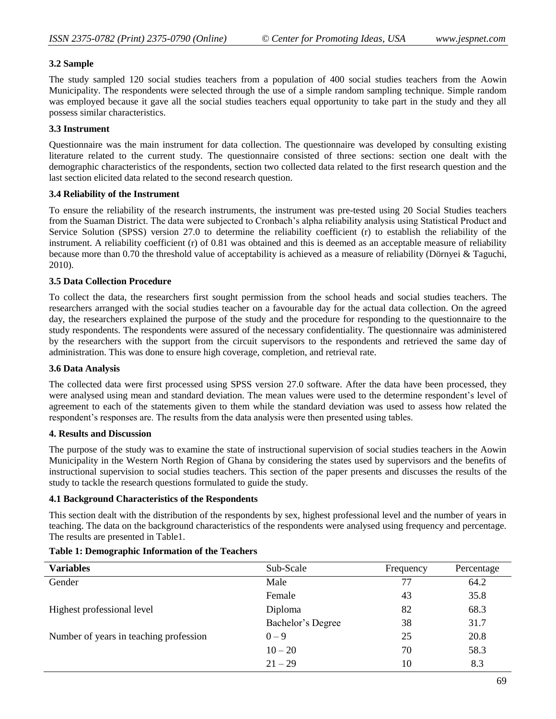# **3.2 Sample**

The study sampled 120 social studies teachers from a population of 400 social studies teachers from the Aowin Municipality. The respondents were selected through the use of a simple random sampling technique. Simple random was employed because it gave all the social studies teachers equal opportunity to take part in the study and they all possess similar characteristics.

# **3.3 Instrument**

Questionnaire was the main instrument for data collection. The questionnaire was developed by consulting existing literature related to the current study. The questionnaire consisted of three sections: section one dealt with the demographic characteristics of the respondents, section two collected data related to the first research question and the last section elicited data related to the second research question.

# **3.4 Reliability of the Instrument**

To ensure the reliability of the research instruments, the instrument was pre-tested using 20 Social Studies teachers from the Suaman District. The data were subjected to Cronbach's alpha reliability analysis using Statistical Product and Service Solution (SPSS) version 27.0 to determine the reliability coefficient (r) to establish the reliability of the instrument. A reliability coefficient (r) of 0.81 was obtained and this is deemed as an acceptable measure of reliability because more than 0.70 the threshold value of acceptability is achieved as a measure of reliability (Dörnyei & Taguchi, 2010).

# **3.5 Data Collection Procedure**

To collect the data, the researchers first sought permission from the school heads and social studies teachers. The researchers arranged with the social studies teacher on a favourable day for the actual data collection. On the agreed day, the researchers explained the purpose of the study and the procedure for responding to the questionnaire to the study respondents. The respondents were assured of the necessary confidentiality. The questionnaire was administered by the researchers with the support from the circuit supervisors to the respondents and retrieved the same day of administration. This was done to ensure high coverage, completion, and retrieval rate.

# **3.6 Data Analysis**

The collected data were first processed using SPSS version 27.0 software. After the data have been processed, they were analysed using mean and standard deviation. The mean values were used to the determine respondent's level of agreement to each of the statements given to them while the standard deviation was used to assess how related the respondent's responses are. The results from the data analysis were then presented using tables.

# **4. Results and Discussion**

The purpose of the study was to examine the state of instructional supervision of social studies teachers in the Aowin Municipality in the Western North Region of Ghana by considering the states used by supervisors and the benefits of instructional supervision to social studies teachers. This section of the paper presents and discusses the results of the study to tackle the research questions formulated to guide the study.

# **4.1 Background Characteristics of the Respondents**

This section dealt with the distribution of the respondents by sex, highest professional level and the number of years in teaching. The data on the background characteristics of the respondents were analysed using frequency and percentage. The results are presented in Table1.

| <b>Variables</b>                       | Sub-Scale         | Frequency | Percentage |
|----------------------------------------|-------------------|-----------|------------|
| Gender                                 | Male              | 77        | 64.2       |
|                                        | Female            | 43        | 35.8       |
| Highest professional level             | Diploma           | 82        | 68.3       |
|                                        | Bachelor's Degree | 38        | 31.7       |
| Number of years in teaching profession | $0 - 9$           | 25        | 20.8       |
|                                        | $10 - 20$         | 70        | 58.3       |
|                                        | $21 - 29$         | 10        | 8.3        |

# **Table 1: Demographic Information of the Teachers**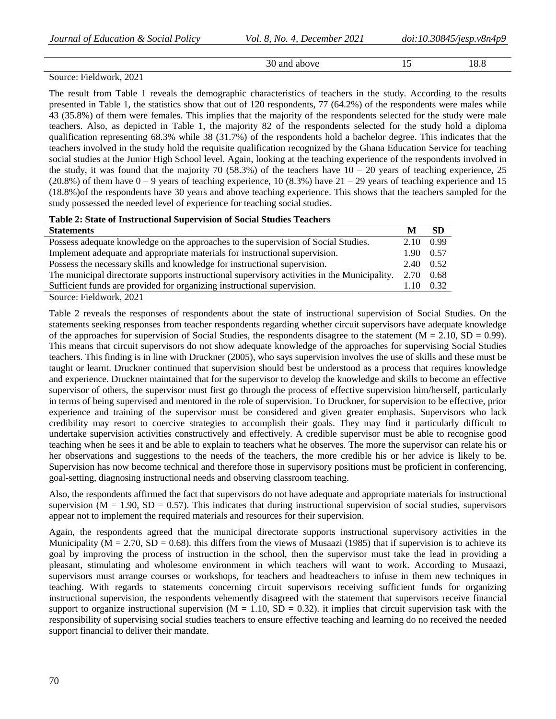| 30<br>and<br>above | . . | . u<br>æ<br>LO.C |
|--------------------|-----|------------------|
|                    |     |                  |

### Source: Fieldwork, 2021

The result from Table 1 reveals the demographic characteristics of teachers in the study. According to the results presented in Table 1, the statistics show that out of 120 respondents, 77 (64.2%) of the respondents were males while 43 (35.8%) of them were females. This implies that the majority of the respondents selected for the study were male teachers. Also, as depicted in Table 1, the majority 82 of the respondents selected for the study hold a diploma qualification representing 68.3% while 38 (31.7%) of the respondents hold a bachelor degree. This indicates that the teachers involved in the study hold the requisite qualification recognized by the Ghana Education Service for teaching social studies at the Junior High School level. Again, looking at the teaching experience of the respondents involved in the study, it was found that the majority 70 (58.3%) of the teachers have  $10 - 20$  years of teaching experience, 25 (20.8%) of them have  $0 - 9$  years of teaching experience, 10 (8.3%) have  $21 - 29$  years of teaching experience and 15 (18.8%)of the respondents have 30 years and above teaching experience. This shows that the teachers sampled for the study possessed the needed level of experience for teaching social studies.

# **Table 2: State of Instructional Supervision of Social Studies Teachers**

| <b>Statements</b>                                                                            | M    | -SD       |
|----------------------------------------------------------------------------------------------|------|-----------|
| Possess adequate knowledge on the approaches to the supervision of Social Studies.           | 2.10 | 0.99      |
| Implement adequate and appropriate materials for instructional supervision.                  | 1.90 | 0.57      |
| Possess the necessary skills and knowledge for instructional supervision.                    |      | 2.40 0.52 |
| The municipal directorate supports instructional supervisory activities in the Municipality. |      | 0.68      |
| Sufficient funds are provided for organizing instructional supervision.                      |      | 0.32      |
| Source: Fieldwork, 2021                                                                      |      |           |

Table 2 reveals the responses of respondents about the state of instructional supervision of Social Studies. On the statements seeking responses from teacher respondents regarding whether circuit supervisors have adequate knowledge of the approaches for supervision of Social Studies, the respondents disagree to the statement ( $M = 2.10$ , SD = 0.99). This means that circuit supervisors do not show adequate knowledge of the approaches for supervising Social Studies teachers. This finding is in line with Druckner (2005), who says supervision involves the use of skills and these must be taught or learnt. Druckner continued that supervision should best be understood as a process that requires knowledge and experience. Druckner maintained that for the supervisor to develop the knowledge and skills to become an effective supervisor of others, the supervisor must first go through the process of effective supervision him/herself, particularly in terms of being supervised and mentored in the role of supervision. To Druckner, for supervision to be effective, prior experience and training of the supervisor must be considered and given greater emphasis. Supervisors who lack credibility may resort to coercive strategies to accomplish their goals. They may find it particularly difficult to undertake supervision activities constructively and effectively. A credible supervisor must be able to recognise good teaching when he sees it and be able to explain to teachers what he observes. The more the supervisor can relate his or her observations and suggestions to the needs of the teachers, the more credible his or her advice is likely to be. Supervision has now become technical and therefore those in supervisory positions must be proficient in conferencing, goal-setting, diagnosing instructional needs and observing classroom teaching.

Also, the respondents affirmed the fact that supervisors do not have adequate and appropriate materials for instructional supervision ( $M = 1.90$ ,  $SD = 0.57$ ). This indicates that during instructional supervision of social studies, supervisors appear not to implement the required materials and resources for their supervision.

Again, the respondents agreed that the municipal directorate supports instructional supervisory activities in the Municipality ( $M = 2.70$ ,  $SD = 0.68$ ). this differs from the views of Musaazi (1985) that if supervision is to achieve its goal by improving the process of instruction in the school, then the supervisor must take the lead in providing a pleasant, stimulating and wholesome environment in which teachers will want to work. According to Musaazi, supervisors must arrange courses or workshops, for teachers and headteachers to infuse in them new techniques in teaching. With regards to statements concerning circuit supervisors receiving sufficient funds for organizing instructional supervision, the respondents vehemently disagreed with the statement that supervisors receive financial support to organize instructional supervision ( $M = 1.10$ ,  $SD = 0.32$ ). it implies that circuit supervision task with the responsibility of supervising social studies teachers to ensure effective teaching and learning do no received the needed support financial to deliver their mandate.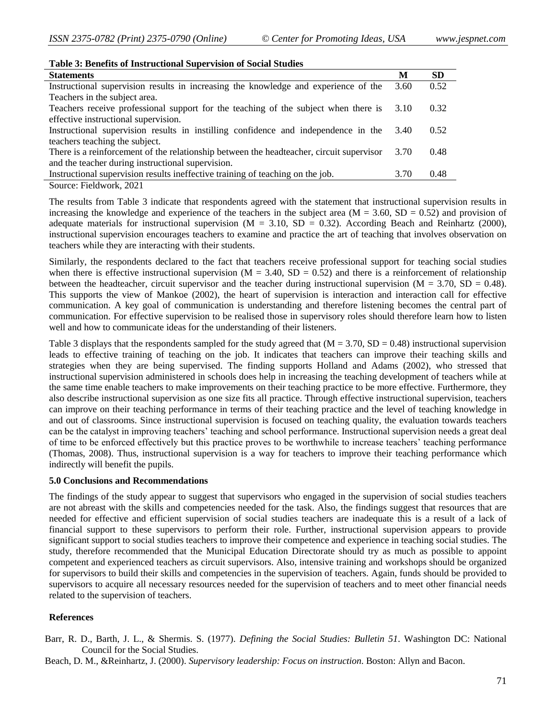| Table 3: Benefits of Instructional Supervision of Social Studies                         |      |      |  |  |
|------------------------------------------------------------------------------------------|------|------|--|--|
| <b>Statements</b>                                                                        | M    | SD   |  |  |
| Instructional supervision results in increasing the knowledge and experience of the      | 3.60 | 0.52 |  |  |
| Teachers in the subject area.                                                            |      |      |  |  |
| Teachers receive professional support for the teaching of the subject when there is      | 3.10 | 0.32 |  |  |
| effective instructional supervision.                                                     |      |      |  |  |
| Instructional supervision results in instilling confidence and independence in the       | 3.40 | 0.52 |  |  |
| teachers teaching the subject.                                                           |      |      |  |  |
| There is a reinforcement of the relationship between the headteacher, circuit supervisor | 3.70 | 0.48 |  |  |
| and the teacher during instructional supervision.                                        |      |      |  |  |
| Instructional supervision results ineffective training of teaching on the job.           | 3.70 | 0.48 |  |  |
| Source: Fieldwork, 2021                                                                  |      |      |  |  |

The results from Table 3 indicate that respondents agreed with the statement that instructional supervision results in increasing the knowledge and experience of the teachers in the subject area  $(M = 3.60, SD = 0.52)$  and provision of adequate materials for instructional supervision ( $M = 3.10$ ,  $SD = 0.32$ ). According Beach and Reinhartz (2000), instructional supervision encourages teachers to examine and practice the art of teaching that involves observation on teachers while they are interacting with their students.

Similarly, the respondents declared to the fact that teachers receive professional support for teaching social studies when there is effective instructional supervision ( $M = 3.40$ ,  $SD = 0.52$ ) and there is a reinforcement of relationship between the headteacher, circuit supervisor and the teacher during instructional supervision ( $M = 3.70$ ,  $SD = 0.48$ ). This supports the view of Mankoe (2002), the heart of supervision is interaction and interaction call for effective communication. A key goal of communication is understanding and therefore listening becomes the central part of communication. For effective supervision to be realised those in supervisory roles should therefore learn how to listen well and how to communicate ideas for the understanding of their listeners.

Table 3 displays that the respondents sampled for the study agreed that  $(M = 3.70, SD = 0.48)$  instructional supervision leads to effective training of teaching on the job. It indicates that teachers can improve their teaching skills and strategies when they are being supervised. The finding supports Holland and Adams (2002), who stressed that instructional supervision administered in schools does help in increasing the teaching development of teachers while at the same time enable teachers to make improvements on their teaching practice to be more effective. Furthermore, they also describe instructional supervision as one size fits all practice. Through effective instructional supervision, teachers can improve on their teaching performance in terms of their teaching practice and the level of teaching knowledge in and out of classrooms. Since instructional supervision is focused on teaching quality, the evaluation towards teachers can be the catalyst in improving teachers' teaching and school performance. Instructional supervision needs a great deal of time to be enforced effectively but this practice proves to be worthwhile to increase teachers' teaching performance (Thomas, 2008). Thus, instructional supervision is a way for teachers to improve their teaching performance which indirectly will benefit the pupils.

#### **5.0 Conclusions and Recommendations**

The findings of the study appear to suggest that supervisors who engaged in the supervision of social studies teachers are not abreast with the skills and competencies needed for the task. Also, the findings suggest that resources that are needed for effective and efficient supervision of social studies teachers are inadequate this is a result of a lack of financial support to these supervisors to perform their role. Further, instructional supervision appears to provide significant support to social studies teachers to improve their competence and experience in teaching social studies. The study, therefore recommended that the Municipal Education Directorate should try as much as possible to appoint competent and experienced teachers as circuit supervisors. Also, intensive training and workshops should be organized for supervisors to build their skills and competencies in the supervision of teachers. Again, funds should be provided to supervisors to acquire all necessary resources needed for the supervision of teachers and to meet other financial needs related to the supervision of teachers.

# **References**

Barr, R. D., Barth, J. L., & Shermis. S. (1977). *Defining the Social Studies: Bulletin 51*. Washington DC: National Council for the Social Studies.

Beach, D. M., &Reinhartz, J. (2000). *Supervisory leadership: Focus on instruction*. Boston: Allyn and Bacon.